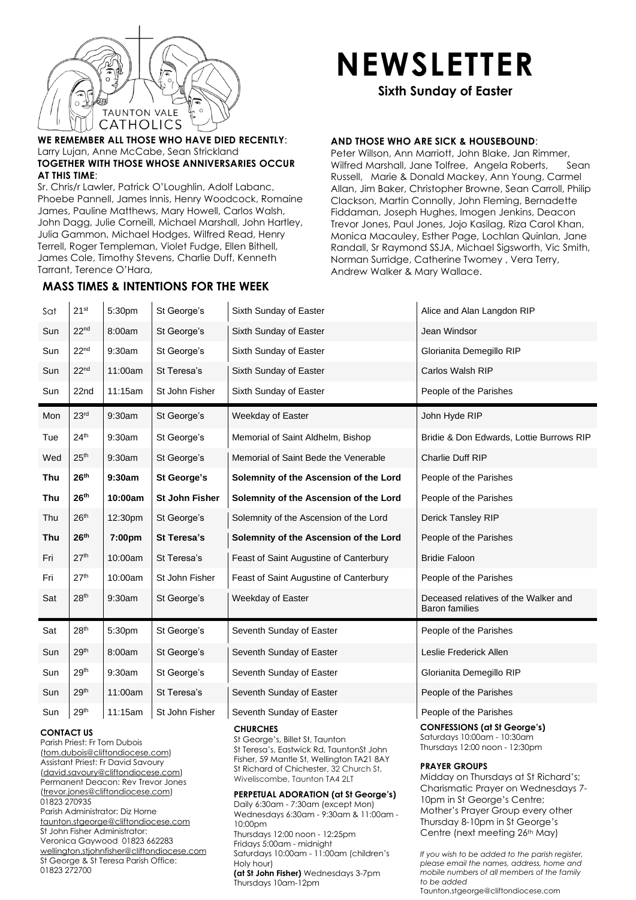

# **NEWSLETTER**

**Sixth Sunday of Easter**

#### **WE REMEMBER ALL THOSE WHO HAVE DIED RECENTLY**: Larry Lujan, Anne McCabe, Sean Strickland **TOGETHER WITH THOSE WHOSE ANNIVERSARIES OCCUR AT THIS TIME**:

Sr. Chris/r Lawler, Patrick O'Loughlin, Adolf Labanc, Phoebe Pannell, James Innis, Henry Woodcock, Romaine James, Pauline Matthews, Mary Howell, Carlos Walsh, John Dagg, Julie Corneill, Michael Marshall, John Hartley, Julia Gammon, Michael Hodges, Wilfred Read, Henry Terrell, Roger Templeman, Violet Fudge, Ellen Bithell, James Cole, Timothy Stevens, Charlie Duff, Kenneth Tarrant, Terence O'Hara,

 $\mathbf{r}$ 

### **MASS TIMES & INTENTIONS FOR THE WEEK**  $\mathbf{r}$

 $\mathbf{L}$ 

**Contractor** 

#### **AND THOSE WHO ARE SICK & HOUSEBOUND**:

 $\mathbf{I}$ 

Peter Willson, Ann Marriott, John Blake, Jan Rimmer, Wilfred Marshall, Jane Tolfree, Angela Roberts, Sean Russell, Marie & Donald Mackey, Ann Young, Carmel Allan, Jim Baker, Christopher Browne, Sean Carroll, Philip Clackson, Martin Connolly, John Fleming, Bernadette Fiddaman, Joseph Hughes, Imogen Jenkins, Deacon Trevor Jones, Paul Jones, Jojo Kasilag, Riza Carol Khan, Monica Macauley, Esther Page, Lochlan Quinlan, Jane Randall, Sr Raymond SSJA, Michael Sigsworth, Vic Smith, Norman Surridge, Catherine Twomey , Vera Terry, Andrew Walker & Mary Wallace.

| Sat                                                                                                                                                                                                                                                                                                                                                                                                                                                   | 21 <sup>st</sup> | 5:30pm  | St George's           | Sixth Sunday of Easter                                                                                                                                                                                                                                                                                                                                            | Alice and Alan Langdon RIP                                                                                                                                                                                                                                                                                        |
|-------------------------------------------------------------------------------------------------------------------------------------------------------------------------------------------------------------------------------------------------------------------------------------------------------------------------------------------------------------------------------------------------------------------------------------------------------|------------------|---------|-----------------------|-------------------------------------------------------------------------------------------------------------------------------------------------------------------------------------------------------------------------------------------------------------------------------------------------------------------------------------------------------------------|-------------------------------------------------------------------------------------------------------------------------------------------------------------------------------------------------------------------------------------------------------------------------------------------------------------------|
| Sun                                                                                                                                                                                                                                                                                                                                                                                                                                                   | 22 <sup>nd</sup> | 8:00am  | St George's           | Sixth Sunday of Easter                                                                                                                                                                                                                                                                                                                                            | Jean Windsor                                                                                                                                                                                                                                                                                                      |
| Sun                                                                                                                                                                                                                                                                                                                                                                                                                                                   | 22 <sup>nd</sup> | 9:30am  | St George's           | Sixth Sunday of Easter                                                                                                                                                                                                                                                                                                                                            | Glorianita Demegillo RIP                                                                                                                                                                                                                                                                                          |
| Sun                                                                                                                                                                                                                                                                                                                                                                                                                                                   | 22 <sup>nd</sup> | 11:00am | St Teresa's           | Sixth Sunday of Easter                                                                                                                                                                                                                                                                                                                                            | Carlos Walsh RIP                                                                                                                                                                                                                                                                                                  |
| Sun                                                                                                                                                                                                                                                                                                                                                                                                                                                   | 22nd             | 11:15am | St John Fisher        | Sixth Sunday of Easter                                                                                                                                                                                                                                                                                                                                            | People of the Parishes                                                                                                                                                                                                                                                                                            |
| Mon                                                                                                                                                                                                                                                                                                                                                                                                                                                   | 23 <sup>rd</sup> | 9:30am  | St George's           | Weekday of Easter                                                                                                                                                                                                                                                                                                                                                 | John Hyde RIP                                                                                                                                                                                                                                                                                                     |
| Tue                                                                                                                                                                                                                                                                                                                                                                                                                                                   | 24 <sup>th</sup> | 9:30am  | St George's           | Memorial of Saint Aldhelm, Bishop                                                                                                                                                                                                                                                                                                                                 | Bridie & Don Edwards, Lottie Burrows RIP                                                                                                                                                                                                                                                                          |
| Wed                                                                                                                                                                                                                                                                                                                                                                                                                                                   | 25 <sup>th</sup> | 9:30am  | St George's           | Memorial of Saint Bede the Venerable                                                                                                                                                                                                                                                                                                                              | <b>Charlie Duff RIP</b>                                                                                                                                                                                                                                                                                           |
| Thu                                                                                                                                                                                                                                                                                                                                                                                                                                                   | 26 <sup>th</sup> | 9:30am  | St George's           | Solemnity of the Ascension of the Lord                                                                                                                                                                                                                                                                                                                            | People of the Parishes                                                                                                                                                                                                                                                                                            |
| Thu                                                                                                                                                                                                                                                                                                                                                                                                                                                   | 26 <sup>th</sup> | 10:00am | <b>St John Fisher</b> | Solemnity of the Ascension of the Lord                                                                                                                                                                                                                                                                                                                            | People of the Parishes                                                                                                                                                                                                                                                                                            |
| Thu                                                                                                                                                                                                                                                                                                                                                                                                                                                   | 26 <sup>th</sup> | 12:30pm | St George's           | Solemnity of the Ascension of the Lord                                                                                                                                                                                                                                                                                                                            | <b>Derick Tansley RIP</b>                                                                                                                                                                                                                                                                                         |
| Thu                                                                                                                                                                                                                                                                                                                                                                                                                                                   | 26 <sup>th</sup> | 7:00pm  | St Teresa's           | Solemnity of the Ascension of the Lord                                                                                                                                                                                                                                                                                                                            | People of the Parishes                                                                                                                                                                                                                                                                                            |
| Fri                                                                                                                                                                                                                                                                                                                                                                                                                                                   | 27 <sup>th</sup> | 10:00am | St Teresa's           | Feast of Saint Augustine of Canterbury                                                                                                                                                                                                                                                                                                                            | <b>Bridie Faloon</b>                                                                                                                                                                                                                                                                                              |
| Fri                                                                                                                                                                                                                                                                                                                                                                                                                                                   | 27 <sup>th</sup> | 10:00am | St John Fisher        | Feast of Saint Augustine of Canterbury                                                                                                                                                                                                                                                                                                                            | People of the Parishes                                                                                                                                                                                                                                                                                            |
| Sat                                                                                                                                                                                                                                                                                                                                                                                                                                                   | 28 <sup>th</sup> | 9:30am  | St George's           | Weekday of Easter                                                                                                                                                                                                                                                                                                                                                 | Deceased relatives of the Walker and<br><b>Baron families</b>                                                                                                                                                                                                                                                     |
| Sat                                                                                                                                                                                                                                                                                                                                                                                                                                                   | 28 <sup>th</sup> | 5:30pm  | St George's           | Seventh Sunday of Easter                                                                                                                                                                                                                                                                                                                                          | People of the Parishes                                                                                                                                                                                                                                                                                            |
| Sun                                                                                                                                                                                                                                                                                                                                                                                                                                                   | 29 <sup>th</sup> | 8:00am  | St George's           | Seventh Sunday of Easter                                                                                                                                                                                                                                                                                                                                          | Leslie Frederick Allen                                                                                                                                                                                                                                                                                            |
| Sun                                                                                                                                                                                                                                                                                                                                                                                                                                                   | 29 <sup>th</sup> | 9:30am  | St George's           | Seventh Sunday of Easter                                                                                                                                                                                                                                                                                                                                          | Glorianita Demegillo RIP                                                                                                                                                                                                                                                                                          |
| Sun                                                                                                                                                                                                                                                                                                                                                                                                                                                   | 29 <sup>th</sup> | 11:00am | St Teresa's           | Seventh Sunday of Easter                                                                                                                                                                                                                                                                                                                                          | People of the Parishes                                                                                                                                                                                                                                                                                            |
| Sun                                                                                                                                                                                                                                                                                                                                                                                                                                                   | 29 <sup>th</sup> | 11:15am | St John Fisher        | Seventh Sunday of Easter                                                                                                                                                                                                                                                                                                                                          | People of the Parishes                                                                                                                                                                                                                                                                                            |
| <b>CONTACT US</b><br>Parish Priest: Fr Tom Dubois<br>(tom.dubois@cliftondiocese.com)<br>Assistant Priest: Fr David Savoury<br>(david.savoury@cliftondiocese.com)<br>Permanent Deacon: Rev Trevor Jones<br>(trevor.jones@cliftondiocese.com)<br>01823 270935<br>Parish Administrator: Diz Horne<br>taunton.stgeorge@cliftondiocese.com<br>St John Fisher Administrator:<br>Veronica Gaywood 01823 662283<br>wellington.stjohnfisher@cliftondiocese.com |                  |         |                       | <b>CHURCHES</b><br>St George's, Billet St, Taunton<br>St Teresa's, Eastwick Rd, TauntonSt John<br>Fisher, 59 Mantle St, Wellington TA21 8AY<br>St Richard of Chichester, 32 Church St,<br>Wiveliscombe, Taunton TA4 2LT<br><b>PERPETUAL ADORATION (at St George's)</b><br>Daily 6:30am - 7:30am (except Mon)<br>Wednesdays 6:30am - 9:30am & 11:00am -<br>10:00pm | <b>CONFESSIONS (at St George's)</b><br>Saturdays 10:00am - 10:30am<br>Thursdays 12:00 noon - 12:30pm<br><b>PRAYER GROUPS</b><br>Midday on Thursdays at St Richard's;<br>Charismatic Prayer on Wednesdays 7-<br>10pm in St George's Centre;<br>Mother's Prayer Group every other<br>Thursday 8-10pm in St George's |

St George & St Teresa Parish Office: 01823 272700

#### Holy hour) **(at St John Fisher)** Wednesdays 3-7pm Thursdays 10am-12pm

*to be added* Taunton.stgeorge@cliftondiocese.com

*please email the names, address, home and mobile numbers of all members of the family*